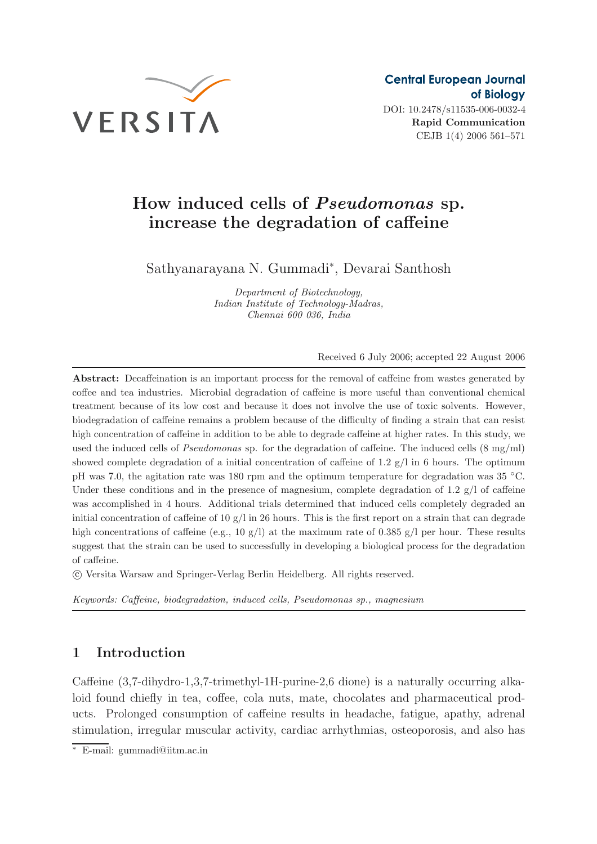

DOI: 10.2478/s11535-006-0032-4 **Rapid Communication** CEJB 1(4) 2006 561–571

# **How induced cells of** *Pseudomonas* **sp. increase the degradation of caffeine**

Sathyanarayana N. Gummadi<sup>∗</sup> , Devarai Santhosh

*Department of Biotechnology, Indian Institute of Technology-Madras, Chennai 600 036, India*

Received 6 July 2006; accepted 22 August 2006

**Abstract:** Decaffeination is an important process for the removal of caffeine from wastes generated by coffee and tea industries. Microbial degradation of caffeine is more useful than conventional chemical treatment because of its low cost and because it does not involve the use of toxic solvents. However, biodegradation of caffeine remains a problem because of the difficulty of finding a strain that can resist high concentration of caffeine in addition to be able to degrade caffeine at higher rates. In this study, we used the induced cells of *Pseudomonas* sp. for the degradation of caffeine. The induced cells (8 mg/ml) showed complete degradation of a initial concentration of caffeine of 1.2  $g/l$  in 6 hours. The optimum pH was 7.0, the agitation rate was 180 rpm and the optimum temperature for degradation was 35 ◦C. Under these conditions and in the presence of magnesium, complete degradation of 1.2  $g/l$  of caffeine was accomplished in 4 hours. Additional trials determined that induced cells completely degraded an initial concentration of caffeine of 10  $g/l$  in 26 hours. This is the first report on a strain that can degrade high concentrations of caffeine (e.g., 10 g/l) at the maximum rate of 0.385 g/l per hour. These results suggest that the strain can be used to successfully in developing a biological process for the degradation of caffeine.

c Versita Warsaw and Springer-Verlag Berlin Heidelberg. All rights reserved.

*Keywords: Caffeine, biodegradation, induced cells, Pseudomonas sp., magnesium*

## **1 Introduction**

Caffeine (3,7-dihydro-1,3,7-trimethyl-1H-purine-2,6 dione) is a naturally occurring alkaloid found chiefly in tea, coffee, cola nuts, mate, chocolates and pharmaceutical products. Prolonged consumption of caffeine results in headache, fatigue, apathy, adrenal stimulation, irregular muscular activity, cardiac arrhythmias, osteoporosis, and also has

<sup>∗</sup> E-mail: gummadi@iitm.ac.in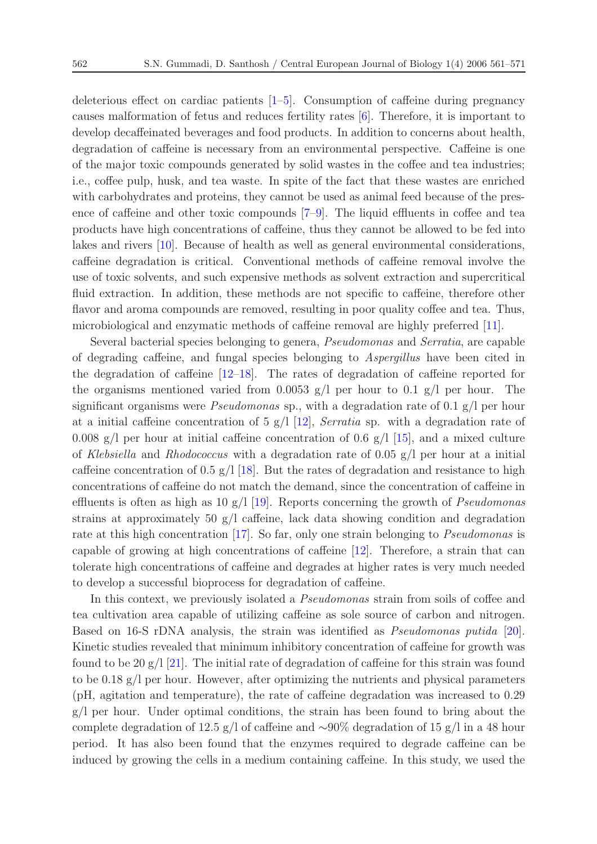deleterious effect on cardiac patients [\[1](#page-9-0)[–5](#page-9-1)]. Consumption of caffeine during pregnancy causes malformation of fetus and reduces fertility rates [\[6](#page-9-2)]. Therefore, it is important to develop decaffeinated beverages and food products. In addition to concerns about health, degradation of caffeine is necessary from an environmental perspective. Caffeine is one of the major toxic compounds generated by solid wastes in the coffee and tea industries; i.e., coffee pulp, husk, and tea waste. In spite of the fact that these wastes are enriched with carbohydrates and proteins, they cannot be used as animal feed because of the presence of caffeine and other toxic compounds [\[7](#page-9-3)[–9\]](#page-9-4). The liquid effluents in coffee and tea products have high concentrations of caffeine, thus they cannot be allowed to be fed into lakes and rivers [\[10\]](#page-9-5). Because of health as well as general environmental considerations, caffeine degradation is critical. Conventional methods of caffeine removal involve the use of toxic solvents, and such expensive methods as solvent extraction and supercritical fluid extraction. In addition, these methods are not specific to caffeine, therefore other flavor and aroma compounds are removed, resulting in poor quality coffee and tea. Thus, microbiological and enzymatic methods of caffeine removal are highly preferred [\[11](#page-9-6)].

Several bacterial species belonging to genera, *Pseudomonas* and *Serratia*, are capable of degrading caffeine, and fungal species belonging to *Aspergillus* have been cited in the degradation of caffeine [\[12](#page-9-7)[–18](#page-10-0)]. The rates of degradation of caffeine reported for the organisms mentioned varied from 0.0053 g/l per hour to 0.1 g/l per hour. The significant organisms were *Pseudomonas* sp., with a degradation rate of 0.1 g/l per hour at a initial caffeine concentration of 5 g/l [\[12](#page-9-7)], *Serratia* sp. with a degradation rate of 0.008 g/l per hour at initial caffeine concentration of 0.6 g/l  $[15]$ , and a mixed culture of *Klebsiella* and *Rhodococcus* with a degradation rate of 0.05 g/l per hour at a initial caffeine concentration of 0.5 g/l [\[18\]](#page-10-0). But the rates of degradation and resistance to high concentrations of caffeine do not match the demand, since the concentration of caffeine in effluents is often as high as 10 g/l [\[19](#page-10-2)]. Reports concerning the growth of *Pseudomonas* strains at approximately 50 g/l caffeine, lack data showing condition and degradation rate at this high concentration [\[17](#page-10-3)]. So far, only one strain belonging to *Pseudomonas* is capable of growing at high concentrations of caffeine [\[12\]](#page-9-7). Therefore, a strain that can tolerate high concentrations of caffeine and degrades at higher rates is very much needed to develop a successful bioprocess for degradation of caffeine.

In this context, we previously isolated a *Pseudomonas* strain from soils of coffee and tea cultivation area capable of utilizing caffeine as sole source of carbon and nitrogen. Based on 16-S rDNA analysis, the strain was identified as *Pseudomonas putida* [\[20\]](#page-10-4). Kinetic studies revealed that minimum inhibitory concentration of caffeine for growth was found to be 20  $g/[\frac{21}{1}]$ . The initial rate of degradation of caffeine for this strain was found to be  $0.18 \text{ g/l}$  per hour. However, after optimizing the nutrients and physical parameters (pH, agitation and temperature), the rate of caffeine degradation was increased to 0.29  $g/l$  per hour. Under optimal conditions, the strain has been found to bring about the complete degradation of 12.5 g/l of caffeine and ∼90% degradation of 15 g/l in a 48 hour period. It has also been found that the enzymes required to degrade caffeine can be induced by growing the cells in a medium containing caffeine. In this study, we used the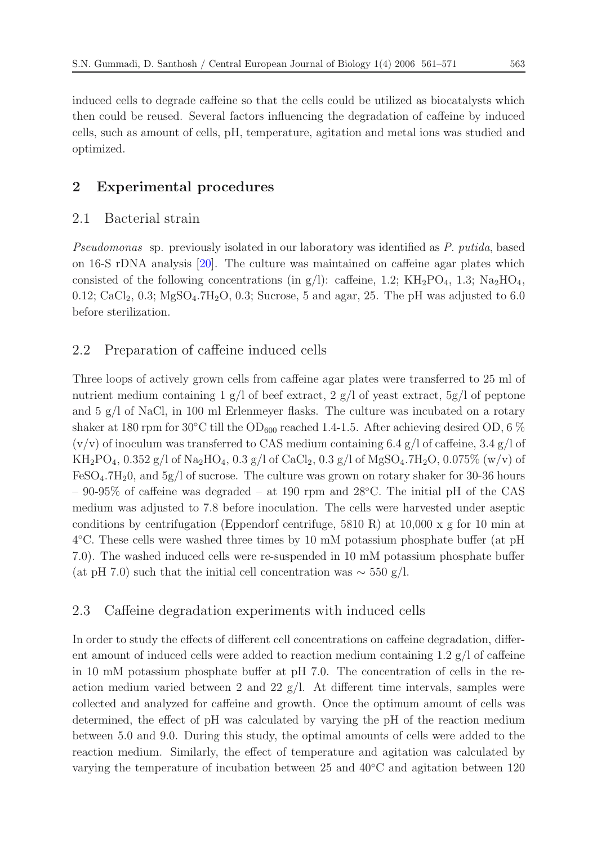induced cells to degrade caffeine so that the cells could be utilized as biocatalysts which then could be reused. Several factors influencing the degradation of caffeine by induced cells, such as amount of cells, pH, temperature, agitation and metal ions was studied and optimized.

## **2 Experimental procedures**

#### 2.1 Bacterial strain

*Pseudomonas* sp. previously isolated in our laboratory was identified as *P. putida*, based on 16-S rDNA analysis [\[20\]](#page-10-4). The culture was maintained on caffeine agar plates which consisted of the following concentrations (in g/l): caffeine, 1.2;  $KH_2PO_4$ , 1.3;  $Na_2HO_4$ , 0.12; CaCl<sub>2</sub>, 0.3; MgSO<sub>4</sub>.7H<sub>2</sub>O, 0.3; Sucrose, 5 and agar, 25. The pH was adjusted to 6.0 before sterilization.

#### 2.2 Preparation of caffeine induced cells

Three loops of actively grown cells from caffeine agar plates were transferred to 25 ml of nutrient medium containing 1 g/l of beef extract, 2 g/l of yeast extract, 5g/l of peptone and 5 g/l of NaCl, in 100 ml Erlenmeyer flasks. The culture was incubated on a rotary shaker at 180 rpm for 30°C till the OD<sub>600</sub> reached 1.4-1.5. After achieving desired OD, 6  $\%$  $(v/v)$  of inoculum was transferred to CAS medium containing 6.4 g/l of caffeine, 3.4 g/l of  $KH_2PO_4$ , 0.352 g/l of Na<sub>2</sub>HO<sub>4</sub>, 0.3 g/l of CaCl<sub>2</sub>, 0.3 g/l of MgSO<sub>4</sub>.7H<sub>2</sub>O, 0.075% (w/v) of  $FeSO<sub>4</sub>·7H<sub>2</sub>0$ , and  $5g/l$  of sucrose. The culture was grown on rotary shaker for 30-36 hours – 90-95% of caffeine was degraded – at 190 rpm and 28◦C. The initial pH of the CAS medium was adjusted to 7.8 before inoculation. The cells were harvested under aseptic conditions by centrifugation (Eppendorf centrifuge, 5810 R) at 10,000 x g for 10 min at 4◦C. These cells were washed three times by 10 mM potassium phosphate buffer (at pH 7.0). The washed induced cells were re-suspended in 10 mM potassium phosphate buffer (at pH 7.0) such that the initial cell concentration was  $\sim$  550 g/l.

#### 2.3 Caffeine degradation experiments with induced cells

In order to study the effects of different cell concentrations on caffeine degradation, different amount of induced cells were added to reaction medium containing  $1.2 \text{ g}/\text{l}$  of caffeine in 10 mM potassium phosphate buffer at pH 7.0. The concentration of cells in the reaction medium varied between 2 and 22  $g/l$ . At different time intervals, samples were collected and analyzed for caffeine and growth. Once the optimum amount of cells was determined, the effect of pH was calculated by varying the pH of the reaction medium between 5.0 and 9.0. During this study, the optimal amounts of cells were added to the reaction medium. Similarly, the effect of temperature and agitation was calculated by varying the temperature of incubation between 25 and 40◦C and agitation between 120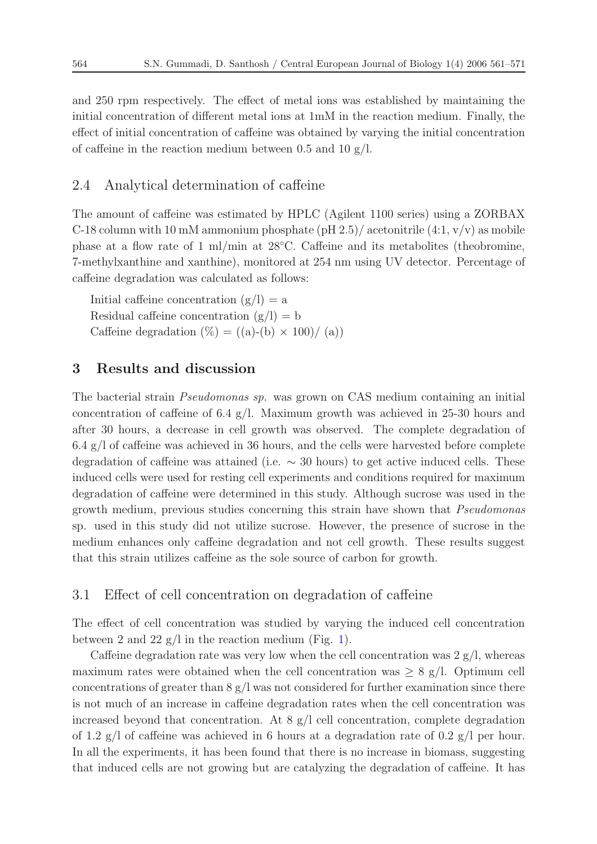and 250 rpm respectively. The effect of metal ions was established by maintaining the initial concentration of different metal ions at 1mM in the reaction medium. Finally, the effect of initial concentration of caffeine was obtained by varying the initial concentration of caffeine in the reaction medium between 0.5 and 10  $g/l$ .

#### 2.4 Analytical determination of caffeine

The amount of caffeine was estimated by HPLC (Agilent 1100 series) using a ZORBAX C-18 column with 10 mM ammonium phosphate (pH 2.5)/ acetonitrile  $(4:1, v/v)$  as mobile phase at a flow rate of 1 ml/min at 28◦C. Caffeine and its metabolites (theobromine, 7-methylxanthine and xanthine), monitored at 254 nm using UV detector. Percentage of caffeine degradation was calculated as follows:

Initial caffeine concentration  $(g/l) = a$ Residual caffeine concentration  $(g/l) = b$ Caffeine degradation  $(\%) = ((a)-(b) \times 100) / (a))$ 

## **3 Results and discussion**

The bacterial strain *Pseudomonas sp.* was grown on CAS medium containing an initial concentration of caffeine of 6.4  $g/l$ . Maximum growth was achieved in 25-30 hours and after 30 hours, a decrease in cell growth was observed. The complete degradation of  $6.4 \text{ g}/l$  of caffeine was achieved in 36 hours, and the cells were harvested before complete degradation of caffeine was attained (i.e.  $\sim$  30 hours) to get active induced cells. These induced cells were used for resting cell experiments and conditions required for maximum degradation of caffeine were determined in this study. Although sucrose was used in the growth medium, previous studies concerning this strain have shown that *Pseudomonas* sp. used in this study did not utilize sucrose. However, the presence of sucrose in the medium enhances only caffeine degradation and not cell growth. These results suggest that this strain utilizes caffeine as the sole source of carbon for growth.

#### 3.1 Effect of cell concentration on degradation of caffeine

The effect of cell concentration was studied by varying the induced cell concentration between 2 and 22  $g/l$  in the reaction medium (Fig. [1\)](#page-4-0).

Caffeine degradation rate was very low when the cell concentration was  $2 g/l$ , whereas maximum rates were obtained when the cell concentration was  $\geq 8$  g/l. Optimum cell concentrations of greater than  $8 \text{ g/l}$  was not considered for further examination since there is not much of an increase in caffeine degradation rates when the cell concentration was increased beyond that concentration. At  $8 \text{ g}/l$  cell concentration, complete degradation of 1.2 g/l of caffeine was achieved in 6 hours at a degradation rate of 0.2 g/l per hour. In all the experiments, it has been found that there is no increase in biomass, suggesting that induced cells are not growing but are catalyzing the degradation of caffeine. It has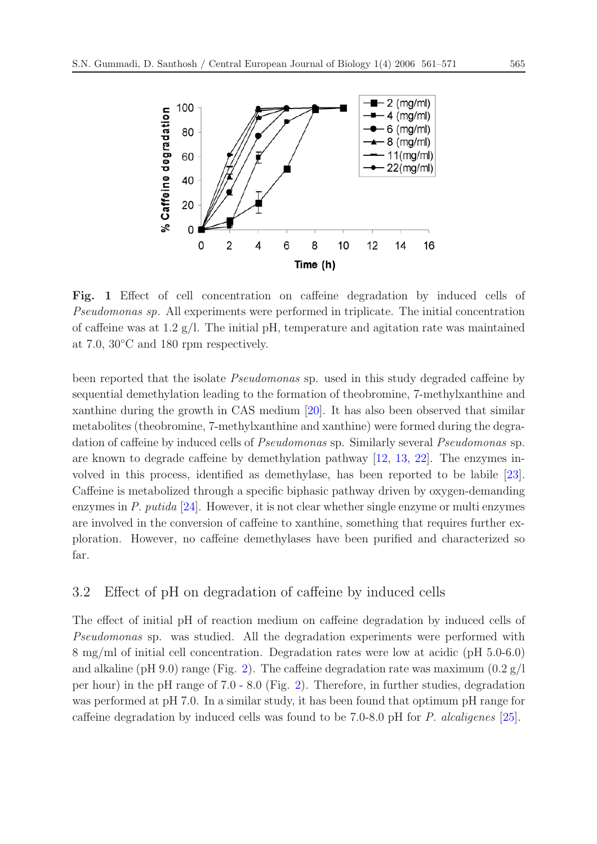<span id="page-4-0"></span>

**Fig. 1** Effect of cell concentration on caffeine degradation by induced cells of *Pseudomonas sp*. All experiments were performed in triplicate. The initial concentration of caffeine was at 1.2  $g/l$ . The initial pH, temperature and agitation rate was maintained at 7.0, 30◦C and 180 rpm respectively.

been reported that the isolate *Pseudomonas* sp. used in this study degraded caffeine by sequential demethylation leading to the formation of theobromine, 7-methylxanthine and xanthine during the growth in CAS medium [\[20](#page-10-4)]. It has also been observed that similar metabolites (theobromine, 7-methylxanthine and xanthine) were formed during the degradation of caffeine by induced cells of *Pseudomonas* sp. Similarly several *Pseudomonas* sp. are known to degrade caffeine by demethylation pathway [\[12](#page-9-7), [13,](#page-9-8) [22](#page-10-6)]. The enzymes involved in this process, identified as demethylase, has been reported to be labile [\[23\]](#page-10-7). Caffeine is metabolized through a specific biphasic pathway driven by oxygen-demanding enzymes in *P. putida* [\[24\]](#page-10-8). However, it is not clear whether single enzyme or multi enzymes are involved in the conversion of caffeine to xanthine, something that requires further exploration. However, no caffeine demethylases have been purified and characterized so far.

#### 3.2 Effect of pH on degradation of caffeine by induced cells

The effect of initial pH of reaction medium on caffeine degradation by induced cells of *Pseudomonas* sp. was studied. All the degradation experiments were performed with 8 mg/ml of initial cell concentration. Degradation rates were low at acidic (pH 5.0-6.0) and alkaline (pH 9.0) range (Fig. [2\)](#page-5-0). The caffeine degradation rate was maximum  $(0.2 \text{ g}/l)$ per hour) in the pH range of 7.0 - 8.0 (Fig. [2\)](#page-5-0). Therefore, in further studies, degradation was performed at pH 7.0. In a similar study, it has been found that optimum pH range for caffeine degradation by induced cells was found to be 7.0-8.0 pH for *P. alcaligenes* [\[25\]](#page-10-9).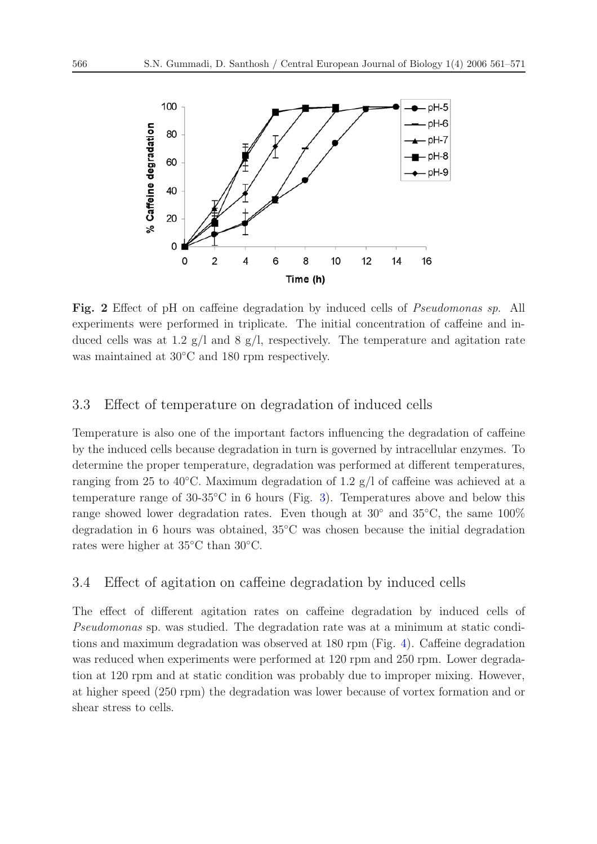<span id="page-5-0"></span>

**Fig. 2** Effect of pH on caffeine degradation by induced cells of *Pseudomonas sp*. All experiments were performed in triplicate. The initial concentration of caffeine and induced cells was at 1.2  $g/l$  and 8  $g/l$ , respectively. The temperature and agitation rate was maintained at 30◦C and 180 rpm respectively.

### 3.3 Effect of temperature on degradation of induced cells

Temperature is also one of the important factors influencing the degradation of caffeine by the induced cells because degradation in turn is governed by intracellular enzymes. To determine the proper temperature, degradation was performed at different temperatures, ranging from 25 to 40 $^{\circ}$ C. Maximum degradation of 1.2 g/l of caffeine was achieved at a temperature range of  $30-35\degree$ C in 6 hours (Fig. [3\)](#page-6-0). Temperatures above and below this range showed lower degradation rates. Even though at  $30°$  and  $35°C$ , the same  $100\%$ degradation in 6 hours was obtained, 35◦C was chosen because the initial degradation rates were higher at 35◦C than 30◦C.

#### 3.4 Effect of agitation on caffeine degradation by induced cells

The effect of different agitation rates on caffeine degradation by induced cells of *Pseudomonas* sp. was studied. The degradation rate was at a minimum at static conditions and maximum degradation was observed at 180 rpm (Fig. [4\)](#page-6-1). Caffeine degradation was reduced when experiments were performed at 120 rpm and 250 rpm. Lower degradation at 120 rpm and at static condition was probably due to improper mixing. However, at higher speed (250 rpm) the degradation was lower because of vortex formation and or shear stress to cells.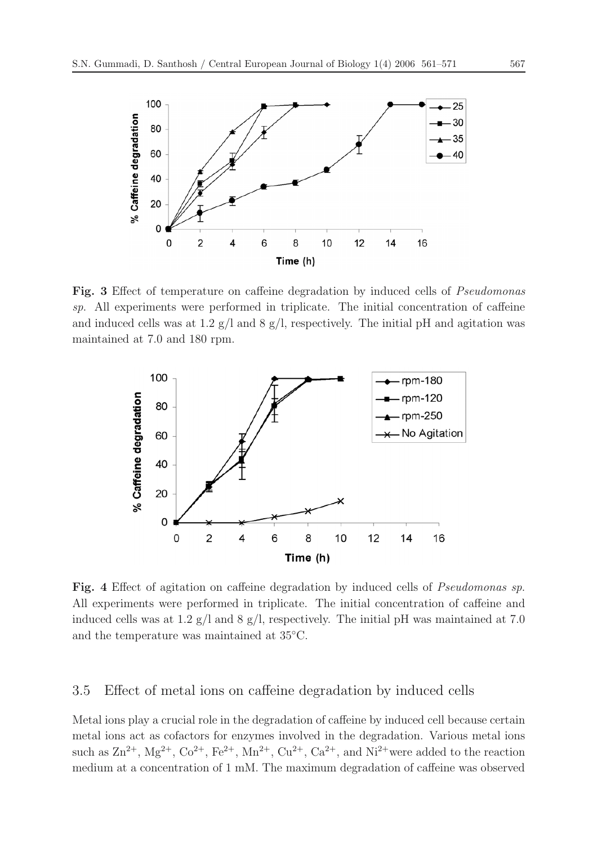<span id="page-6-0"></span>

<span id="page-6-1"></span>**Fig. 3** Effect of temperature on caffeine degradation by induced cells of *Pseudomonas sp*. All experiments were performed in triplicate. The initial concentration of caffeine and induced cells was at 1.2  $g/$ l and 8  $g/$ l, respectively. The initial pH and agitation was maintained at 7.0 and 180 rpm.



**Fig. 4** Effect of agitation on caffeine degradation by induced cells of *Pseudomonas sp*. All experiments were performed in triplicate. The initial concentration of caffeine and induced cells was at 1.2  $g/l$  and 8  $g/l$ , respectively. The initial pH was maintained at 7.0 and the temperature was maintained at 35◦C.

#### 3.5 Effect of metal ions on caffeine degradation by induced cells

Metal ions play a crucial role in the degradation of caffeine by induced cell because certain metal ions act as cofactors for enzymes involved in the degradation. Various metal ions such as  $\text{Zn}^{2+}$ ,  $\text{Mg}^{2+}$ ,  $\text{Co}^{2+}$ ,  $\text{Fe}^{2+}$ ,  $\text{Mn}^{2+}$ ,  $\text{Cu}^{2+}$ ,  $\text{Ca}^{2+}$ , and  $\text{Ni}^{2+}$  were added to the reaction medium at a concentration of 1 mM. The maximum degradation of caffeine was observed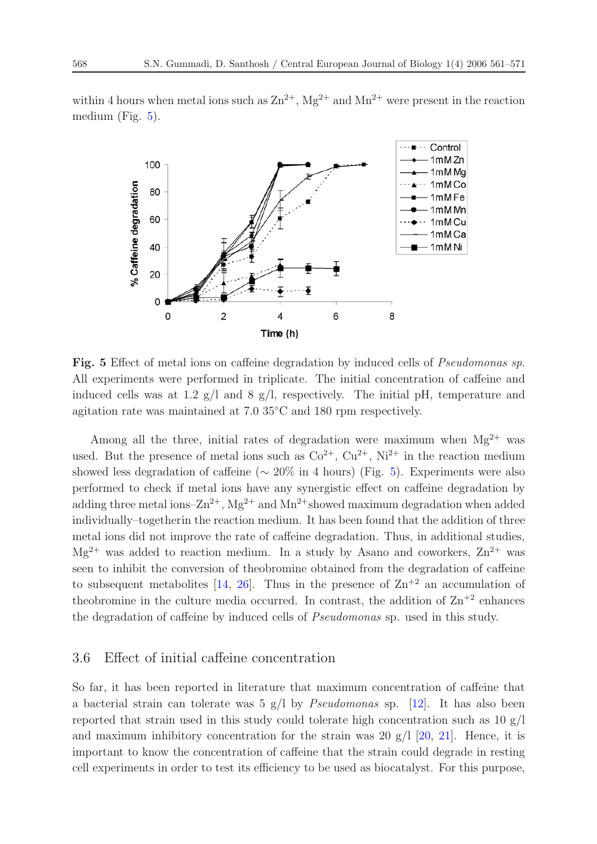<span id="page-7-0"></span>within 4 hours when metal ions such as  $\text{Zn}^{2+}$ ,  $\text{Mg}^{2+}$  and  $\text{Mn}^{2+}$  were present in the reaction medium (Fig. [5\)](#page-7-0).



**Fig. 5** Effect of metal ions on caffeine degradation by induced cells of *Pseudomonas sp*. All experiments were performed in triplicate. The initial concentration of caffeine and induced cells was at 1.2  $g/l$  and 8  $g/l$ , respectively. The initial pH, temperature and agitation rate was maintained at 7.0 35◦C and 180 rpm respectively.

Among all the three, initial rates of degradation were maximum when  $Mg^{2+}$  was used. But the presence of metal ions such as  $Co^{2+}$ ,  $Cu^{2+}$ ,  $Ni^{2+}$  in the reaction medium showed less degradation of caffeine ( $\sim 20\%$  in 4 hours) (Fig. [5\)](#page-7-0). Experiments were also performed to check if metal ions have any synergistic effect on caffeine degradation by adding three metal ions– $\text{Zn}^{2+}$ , Mg<sup>2+</sup> and Mn<sup>2+</sup>showed maximum degradation when added individually–togetherin the reaction medium. It has been found that the addition of three metal ions did not improve the rate of caffeine degradation. Thus, in additional studies,  $Mg^{2+}$  was added to reaction medium. In a study by Asano and coworkers,  $Zn^{2+}$  was seen to inhibit the conversion of theobromine obtained from the degradation of caffeine to subsequent metabolites [\[14,](#page-9-9) [26](#page-10-10)]. Thus in the presence of  $\text{Zn}^{+2}$  an accumulation of the<br>obromine in the culture media occurred. In contrast, the addition of  $\text{Zn}^{+2}$  enhances the degradation of caffeine by induced cells of *Pseudomonas* sp. used in this study.

#### 3.6 Effect of initial caffeine concentration

So far, it has been reported in literature that maximum concentration of caffeine that a bacterial strain can tolerate was 5 g/l by *Pseudomonas* sp. [\[12](#page-9-7)]. It has also been reported that strain used in this study could tolerate high concentration such as  $10 \text{ g/l}$ and maximum inhibitory concentration for the strain was 20  $g/1$  [\[20](#page-10-4), [21](#page-10-5)]. Hence, it is important to know the concentration of caffeine that the strain could degrade in resting cell experiments in order to test its efficiency to be used as biocatalyst. For this purpose,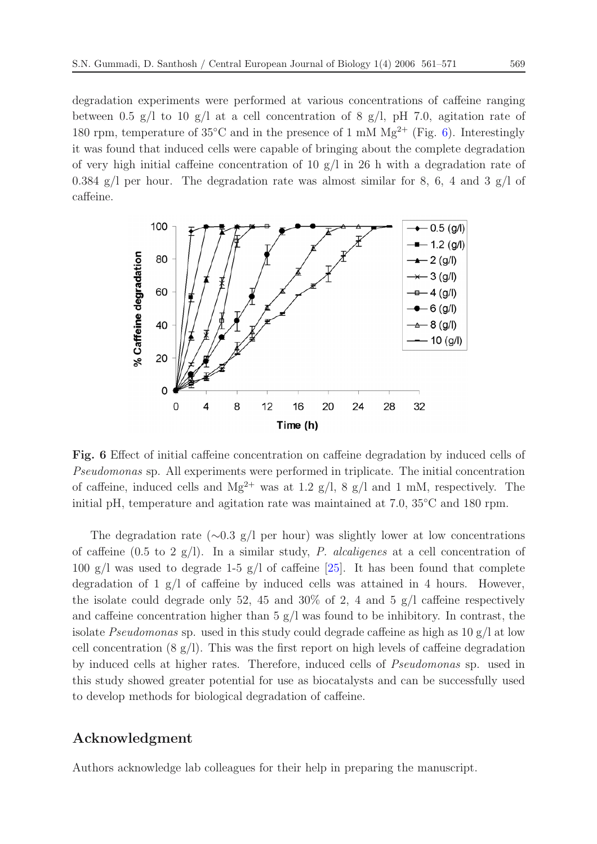degradation experiments were performed at various concentrations of caffeine ranging between 0.5 g/l to 10 g/l at a cell concentration of 8 g/l, pH 7.0, agitation rate of 180 rpm, temperature of  $35^{\circ}$ C and in the presence of 1 mM Mg<sup>2+</sup> (Fig. [6\)](#page-8-0). Interestingly it was found that induced cells were capable of bringing about the complete degradation of very high initial caffeine concentration of 10  $g/l$  in 26 h with a degradation rate of 0.384  $g$ /l per hour. The degradation rate was almost similar for 8, 6, 4 and 3  $g$ /l of caffeine.

<span id="page-8-0"></span>

**Fig. 6** Effect of initial caffeine concentration on caffeine degradation by induced cells of *Pseudomonas* sp. All experiments were performed in triplicate. The initial concentration of caffeine, induced cells and  $Mg^{2+}$  was at 1.2 g/l, 8 g/l and 1 mM, respectively. The initial pH, temperature and agitation rate was maintained at 7.0, 35◦C and 180 rpm.

The degradation rate ( $\sim$ 0.3 g/l per hour) was slightly lower at low concentrations of caffeine (0.5 to 2 g/l). In a similar study, *P. alcaligenes* at a cell concentration of 100 g/l was used to degrade 1-5 g/l of caffeine  $[25]$  $[25]$ . It has been found that complete degradation of 1 g/l of caffeine by induced cells was attained in 4 hours. However, the isolate could degrade only 52, 45 and 30% of 2, 4 and 5  $g/l$  caffeine respectively and caffeine concentration higher than  $5 \text{ g/l}$  was found to be inhibitory. In contrast, the isolate *Pseudomonas* sp. used in this study could degrade caffeine as high as 10 g/l at low cell concentration  $(8 \text{ g/l})$ . This was the first report on high levels of caffeine degradation by induced cells at higher rates. Therefore, induced cells of *Pseudomonas* sp. used in this study showed greater potential for use as biocatalysts and can be successfully used to develop methods for biological degradation of caffeine.

#### **Acknowledgment**

Authors acknowledge lab colleagues for their help in preparing the manuscript.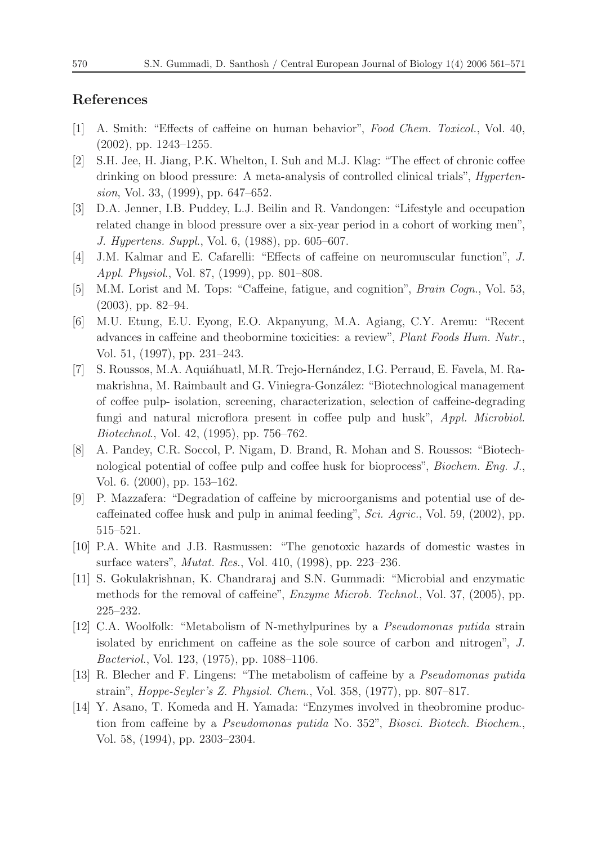#### **References**

- <span id="page-9-0"></span>[1] A. Smith: "Effects of caffeine on human behavior", *Food Chem. Toxicol.*, Vol. 40, (2002), pp. 1243–1255.
- [2] S.H. Jee, H. Jiang, P.K. Whelton, I. Suh and M.J. Klag: "The effect of chronic coffee drinking on blood pressure: A meta-analysis of controlled clinical trials", *Hypertension*, Vol. 33, (1999), pp. 647–652.
- [3] D.A. Jenner, I.B. Puddey, L.J. Beilin and R. Vandongen: "Lifestyle and occupation related change in blood pressure over a six-year period in a cohort of working men", *J. Hypertens. Suppl*., Vol. 6, (1988), pp. 605–607.
- [4] J.M. Kalmar and E. Cafarelli: "Effects of caffeine on neuromuscular function", *J. Appl. Physiol*., Vol. 87, (1999), pp. 801–808.
- <span id="page-9-1"></span>[5] M.M. Lorist and M. Tops: "Caffeine, fatigue, and cognition", *Brain Cogn*., Vol. 53, (2003), pp. 82–94.
- <span id="page-9-2"></span>[6] M.U. Etung, E.U. Eyong, E.O. Akpanyung, M.A. Agiang, C.Y. Aremu: "Recent advances in caffeine and theobormine toxicities: a review", *Plant Foods Hum. Nutr*., Vol. 51, (1997), pp. 231–243.
- <span id="page-9-3"></span>[7] S. Roussos, M.A. Aquiáhuatl, M.R. Trejo-Hernández, I.G. Perraud, E. Favela, M. Ramakrishna, M. Raimbault and G. Viniegra-González: "Biotechnological management of coffee pulp- isolation, screening, characterization, selection of caffeine-degrading fungi and natural microflora present in coffee pulp and husk", *Appl. Microbiol. Biotechnol*., Vol. 42, (1995), pp. 756–762.
- [8] A. Pandey, C.R. Soccol, P. Nigam, D. Brand, R. Mohan and S. Roussos: "Biotechnological potential of coffee pulp and coffee husk for bioprocess", *Biochem. Eng. J*., Vol. 6. (2000), pp. 153–162.
- <span id="page-9-4"></span>[9] P. Mazzafera: "Degradation of caffeine by microorganisms and potential use of decaffeinated coffee husk and pulp in animal feeding", *Sci. Agric.*, Vol. 59, (2002), pp. 515–521.
- <span id="page-9-5"></span>[10] P.A. White and J.B. Rasmussen: "The genotoxic hazards of domestic wastes in surface waters", *Mutat. Res*., Vol. 410, (1998), pp. 223–236.
- <span id="page-9-6"></span>[11] S. Gokulakrishnan, K. Chandraraj and S.N. Gummadi: "Microbial and enzymatic methods for the removal of caffeine", *Enzyme Microb. Technol*., Vol. 37, (2005), pp. 225–232.
- <span id="page-9-7"></span>[12] C.A. Woolfolk: "Metabolism of N-methylpurines by a *Pseudomonas putida* strain isolated by enrichment on caffeine as the sole source of carbon and nitrogen", *J. Bacteriol*., Vol. 123, (1975), pp. 1088–1106.
- <span id="page-9-8"></span>[13] R. Blecher and F. Lingens: "The metabolism of caffeine by a *Pseudomonas putida* strain", *Hoppe-Seyler's Z. Physiol. Chem*., Vol. 358, (1977), pp. 807–817.
- <span id="page-9-9"></span>[14] Y. Asano, T. Komeda and H. Yamada: "Enzymes involved in theobromine production from caffeine by a *Pseudomonas putida* No. 352", *Biosci. Biotech. Biochem*., Vol. 58, (1994), pp. 2303–2304.